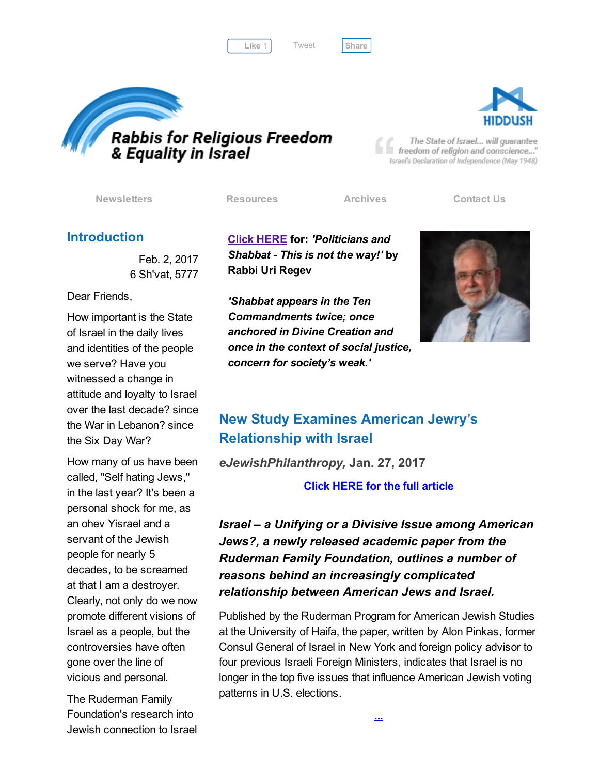Like 1 Tweet [Share](javascript:void(0);)

[Tweet](https://twitter.com/intent/tweet?original_referer=http%3A%2F%2Fhosted-p0.vresp.com%2F577764%2Fe5687c6d69%2FARCHIVE&ref_src=twsrc%5Etfw&text=Bulletin%3A%20How%20important%20is%20the%20State%20of%20Israel%3F&tw_p=tweetbutton&url=http%3A%2F%2Fhosted-p0.vresp.com%2F577764%2Fe5687c6d69%2FARCHIVE%23.WJcobVVemMM.twitter)





The State of Israel... will guarantee freedom of religion and conscience..." Israel's Declaration of Independence (May 1948)

[Newsletters](http://rrfei.org/newsletters/) [Resources](http://rrfei.org/resources/) [Archives](http://rrfei.org/about/rrfei-archives/) [Contact](http://rrfei.org/contact-us/) Us

## Introduction

Feb. 2, 2017 6 Sh'vat, 5777

Dear Friends,

How important is the State of Israel in the daily lives and identities of the people we serve? Have you witnessed a change in attitude and loyalty to Israel over the last decade? since the War in Lebanon? since the Six Day War?

How many of us have been called, "Self hating Jews," in the last year? It's been a personal shock for me, as an ohev Yisrael and a servant of the Jewish people for nearly 5 decades, to be screamed at that I am a destroyer. Clearly, not only do we now promote different visions of Israel as a people, but the controversies have often gone over the line of vicious and personal.

The Ruderman Family Foundation's research into Jewish connection to Israel Click [HERE](http://www.jpost.com/Opinion/Politicians-and-Shabbat-this-is-not-the-way-480061) for: 'Politicians and Shabbat - This is not the way!' by Rabbi Uri Regev

'Shabbat appears in the Ten Commandments twice; once anchored in Divine Creation and once in the context of social justice, concern for society's weak.'



# New Study Examines American Jewry's Relationship with Israel

eJewishPhilanthropy, Jan. 27, 2017

Click HERE for the full [article](http://ejewishphilanthropy.com/new-study-examines-american-jewrys-relationship-with-israel/)

Israel – a Unifying or a Divisive Issue among American Jews?, a newly released academic paper from the Ruderman Family Foundation, outlines a number of reasons behind an increasingly complicated relationship between American Jews and Israel.

Published by the Ruderman Program for American Jewish Studies at the University of Haifa, the paper, written by Alon Pinkas, former Consul General of Israel in New York and foreign policy advisor to four previous Israeli Foreign Ministers, indicates that Israel is no longer in the top five issues that influence American Jewish voting patterns in U.S. elections.

[...](http://ejewishphilanthropy.com/new-study-examines-american-jewrys-relationship-with-israel/)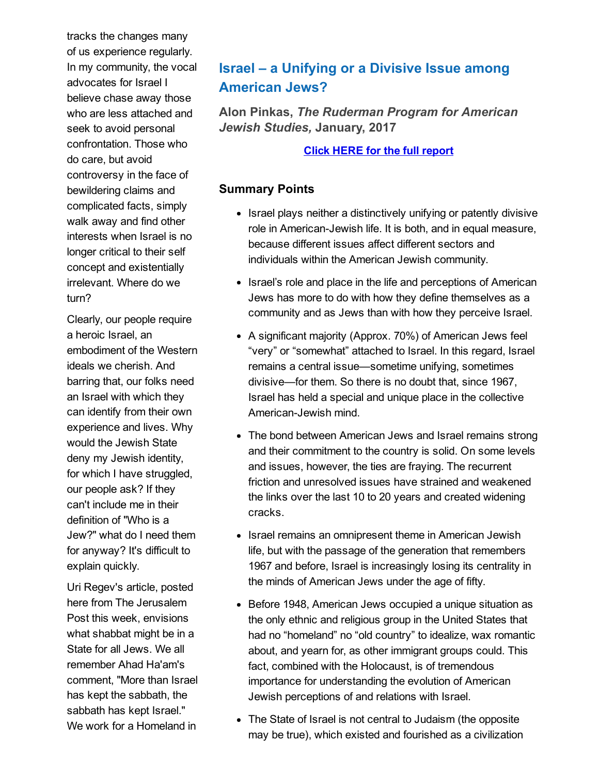tracks the changes many of us experience regularly. In my community, the vocal advocates for Israel I believe chase away those who are less attached and seek to avoid personal confrontation. Those who do care, but avoid controversy in the face of bewildering claims and complicated facts, simply walk away and find other interests when Israel is no longer critical to their self concept and existentially irrelevant. Where do we turn?

Clearly, our people require a heroic Israel, an embodiment of the Western ideals we cherish. And barring that, our folks need an Israel with which they can identify from their own experience and lives. Why would the Jewish State deny my Jewish identity, for which I have struggled, our people ask? If they can't include me in their definition of "Who is a Jew?" what do I need them for anyway? It's difficult to explain quickly.

Uri Regev's article, posted here from The Jerusalem Post this week, envisions what shabbat might be in a State for all Jews. We all remember Ahad Ha'am's comment, "More than Israel has kept the sabbath, the sabbath has kept Israel." We work for a Homeland in

# Israel – a Unifying or a Divisive Issue among American Jews?

Alon Pinkas, The Ruderman Program for American Jewish Studies, January, 2017

#### Click HERE for the full [report](http://ejewishphilanthropy.com/wordpress/wp-content/uploads/2017/01/Israel-Unifying-or-Divisive.pdf)

#### Summary Points

- Israel plays neither a distinctively unifying or patently divisive role in American-Jewish life. It is both, and in equal measure, because different issues affect different sectors and individuals within the American Jewish community.
- Israel's role and place in the life and perceptions of American Jews has more to do with how they define themselves as a community and as Jews than with how they perceive Israel.
- A significant majority (Approx. 70%) of American Jews feel "very" or "somewhat" attached to Israel. In this regard, Israel remains a central issue—sometime unifying, sometimes divisive—for them. So there is no doubt that, since 1967, Israel has held a special and unique place in the collective American-Jewish mind.
- The bond between American Jews and Israel remains strong and their commitment to the country is solid. On some levels and issues, however, the ties are fraying. The recurrent friction and unresolved issues have strained and weakened the links over the last 10 to 20 years and created widening cracks.
- Israel remains an omnipresent theme in American Jewish life, but with the passage of the generation that remembers 1967 and before, Israel is increasingly losing its centrality in the minds of American Jews under the age of fifty.
- Before 1948, American Jews occupied a unique situation as the only ethnic and religious group in the United States that had no "homeland" no "old country" to idealize, wax romantic about, and yearn for, as other immigrant groups could. This fact, combined with the Holocaust, is of tremendous importance for understanding the evolution of American Jewish perceptions of and relations with Israel.
- The State of Israel is not central to Judaism (the opposite may be true), which existed and fourished as a civilization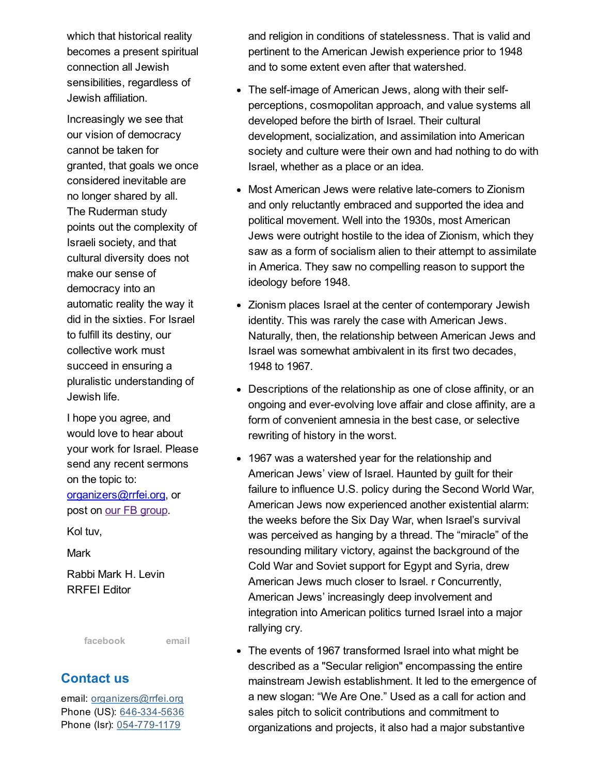which that historical reality becomes a present spiritual connection all Jewish sensibilities, regardless of Jewish affiliation.

Increasingly we see that our vision of democracy cannot be taken for granted, that goals we once considered inevitable are no longer shared by all. The Ruderman study points out the complexity of Israeli society, and that cultural diversity does not make our sense of democracy into an automatic reality the way it did in the sixties. For Israel to fulfill its destiny, our collective work must succeed in ensuring a pluralistic understanding of Jewish life.

I hope you agree, and would love to hear about your work for Israel. Please send any recent sermons on the topic to: [organizers@rrfei.org](mailto:organizers@rrfei.org), or post on <u>our FB group</u>.

Kol tuv,

Mark

Rabbi Mark H. Levin RRFEI Editor

[facebook](https://www.facebook.com/groups/132239560451232/) [email](mailto:organizers@rrfei.org)

## Contact us

email: [organizers@rrfei.org](mailto:organizers@rrfei.org) Phone (US): 646-334-5636 Phone (Isr): 054-779-1179

and religion in conditions of statelessness. That is valid and pertinent to the American Jewish experience prior to 1948 and to some extent even after that watershed.

- The self-image of American Jews, along with their selfperceptions, cosmopolitan approach, and value systems all developed before the birth of Israel. Their cultural development, socialization, and assimilation into American society and culture were their own and had nothing to do with Israel, whether as a place or an idea.
- Most American Jews were relative late-comers to Zionism and only reluctantly embraced and supported the idea and political movement. Well into the 1930s, most American Jews were outright hostile to the idea of Zionism, which they saw as a form of socialism alien to their attempt to assimilate in America. They saw no compelling reason to support the ideology before 1948.
- Zionism places Israel at the center of contemporary Jewish identity. This was rarely the case with American Jews. Naturally, then, the relationship between American Jews and Israel was somewhat ambivalent in its first two decades, 1948 to 1967.
- Descriptions of the relationship as one of close affinity, or an ongoing and ever-evolving love affair and close affinity, are a form of convenient amnesia in the best case, or selective rewriting of history in the worst.
- 1967 was a watershed year for the relationship and American Jews' view of Israel. Haunted by guilt for their failure to influence U.S. policy during the Second World War, American Jews now experienced another existential alarm: the weeks before the Six Day War, when Israel's survival was perceived as hanging by a thread. The "miracle" of the resounding military victory, against the background of the Cold War and Soviet support for Egypt and Syria, drew American Jews much closer to Israel. r Concurrently, American Jews' increasingly deep involvement and integration into American politics turned Israel into a major rallying cry.
- The events of 1967 transformed Israel into what might be described as a "Secular religion" encompassing the entire mainstream Jewish establishment. It led to the emergence of a new slogan: "We Are One." Used as a call for action and sales pitch to solicit contributions and commitment to organizations and projects, it also had a major substantive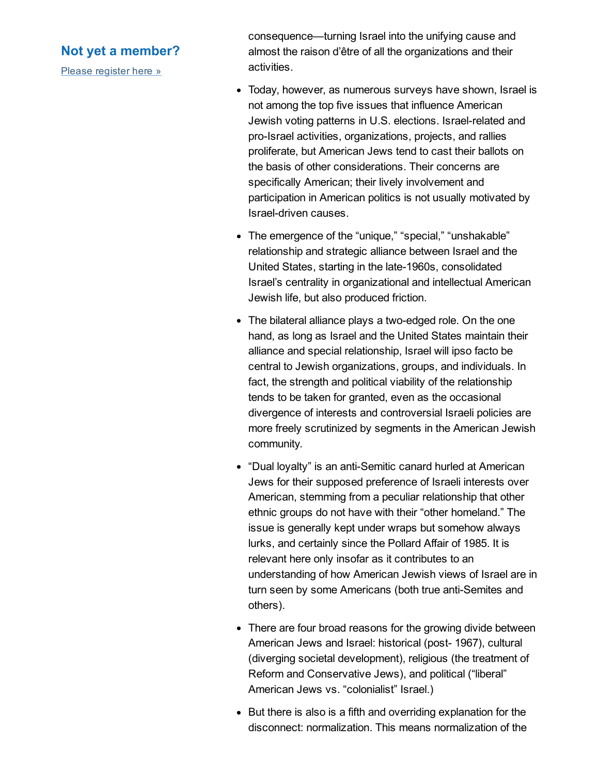### Not yet a member?

Please [register](http://rrfei.org/about/registration/) here »

consequence—turning Israel into the unifying cause and almost the raison d'être of all the organizations and their activities.

- Today, however, as numerous surveys have shown, Israel is not among the top five issues that influence American Jewish voting patterns in U.S. elections. Israel-related and pro-Israel activities, organizations, projects, and rallies proliferate, but American Jews tend to cast their ballots on the basis of other considerations. Their concerns are specifically American; their lively involvement and participation in American politics is not usually motivated by Israel-driven causes.
- The emergence of the "unique," "special," "unshakable" relationship and strategic alliance between Israel and the United States, starting in the late-1960s, consolidated Israel's centrality in organizational and intellectual American Jewish life, but also produced friction.
- The bilateral alliance plays a two-edged role. On the one hand, as long as Israel and the United States maintain their alliance and special relationship, Israel will ipso facto be central to Jewish organizations, groups, and individuals. In fact, the strength and political viability of the relationship tends to be taken for granted, even as the occasional divergence of interests and controversial Israeli policies are more freely scrutinized by segments in the American Jewish community.
- "Dual loyalty" is an anti-Semitic canard hurled at American Jews for their supposed preference of Israeli interests over American, stemming from a peculiar relationship that other ethnic groups do not have with their "other homeland." The issue is generally kept under wraps but somehow always lurks, and certainly since the Pollard Affair of 1985. It is relevant here only insofar as it contributes to an understanding of how American Jewish views of Israel are in turn seen by some Americans (both true anti-Semites and others).
- There are four broad reasons for the growing divide between American Jews and Israel: historical (post- 1967), cultural (diverging societal development), religious (the treatment of Reform and Conservative Jews), and political ("liberal" American Jews vs. "colonialist" Israel.)
- But there is also is a fifth and overriding explanation for the disconnect: normalization. This means normalization of the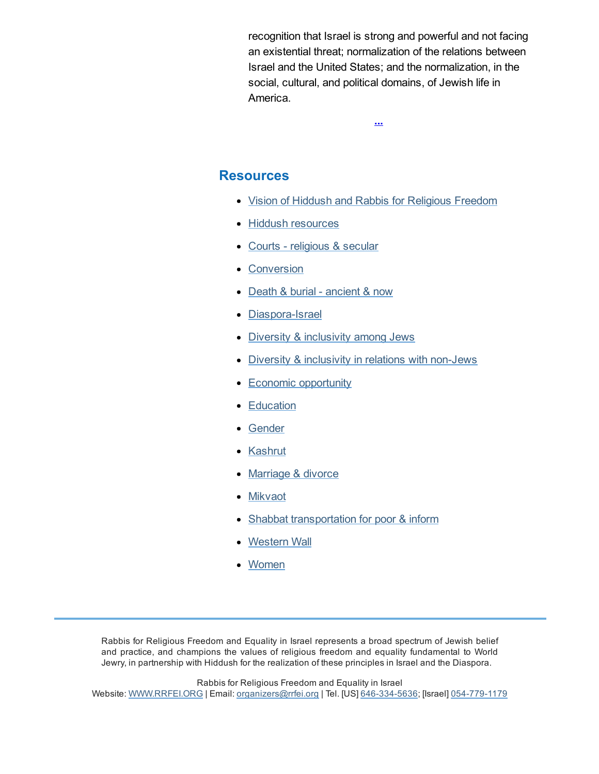recognition that Israel is strong and powerful and not facing an existential threat; normalization of the relations between Israel and the United States; and the normalization, in the social, cultural, and political domains, of Jewish life in America.

[...](http://ejewishphilanthropy.com/wordpress/wp-content/uploads/2017/01/Israel-Unifying-or-Divisive.pdf)

### **Resources**

- Vision of Hiddush and Rabbis for [Religious](http://rrfei.org/resources/vision-of-hiddush-and-rabbis-for-religious-freedom/) Freedom
- Hiddush [resources](http://rrfei.org/resources/hiddush-resources/)
- Courts [religious](http://rrfei.org/resources/courts-religious-and-secular/) & secular
- [Conversion](http://rrfei.org/resources/conversion/)
- Death & burial [ancient](http://rrfei.org/resources/death-and-burial-ancient-and-now/) & now
- Diaspora-Israel  $\bullet$
- Diversity & [inclusivity](http://rrfei.org/resources/diversity-and-inclusivity-among-jews/) among Jews  $\bullet$
- Diversity & [inclusivity](http://rrfei.org/resources/diversity-and-inclusivity-in-relations-with-non-jews/) in relations with non-Jews
- Economic [opportunity](http://rrfei.org/resources/economic-opportunity/)
- **[Education](http://rrfei.org/resources/education/)**
- [Gender](http://rrfei.org/resources/gender/)
- **[Kashrut](http://rrfei.org/resources/kashrut/)**
- [Marriage](http://rrfei.org/resources/marriage-divorce/) & divorce  $\bullet$
- [Mikvaot](http://rrfei.org/resources/mikvaot/)
- Shabbat [transportation](http://rrfei.org/resources/shabbat-transportation-for-poor-and-infirm/) for poor & inform
- [Western](http://rrfei.org/resources/western-wall/) Wall
- [Women](http://rrfei.org/resources/womens-status/)

Rabbis for Religious Freedom and Equality in Israel represents a broad spectrum of Jewish belief and practice, and champions the values of religious freedom and equality fundamental to World Jewry, in partnership with Hiddush for the realization of these principles in Israel and the Diaspora.

Rabbis for Religious Freedom and Equality in Israel Website: [WWW.RRFEI.ORG](http://rrfei.org/) | Email: [organizers@rrfei.org](mailto:organizers@rrfei.org) | Tel. [US] 646-334-5636; [Israel] 054-779-1179